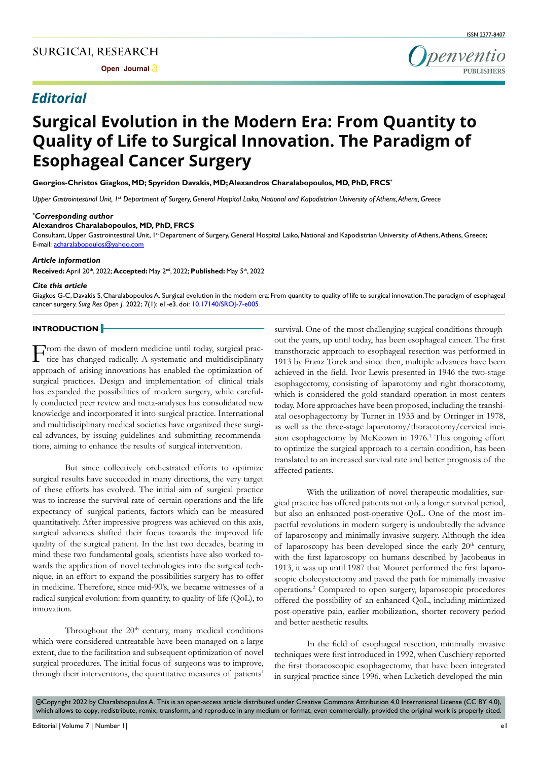# *Editorial*

Denventio

# **Surgical Evolution in the Modern Era: From Quantity to Quality of Life to Surgical Innovation. The Paradigm of Esophageal Cancer Surgery**

**Georgios-Christos Giagkos, MD; Spyridon Davakis, MD; Alexandros Charalabopoulos, MD, PhD, FRCS\***

*Upper Gastrointestinal Unit, 1<sup>st</sup> Department of Surgery, General Hospital Laiko, National and Kapodistrian University of Athens, Athens, Greece* 

#### *\* Corresponding author*

#### **Alexandros Charalabopoulos, MD, PhD, FRCS**

Consultant, Upper Gastrointestinal Unit, 1<sup>st</sup> Department of Surgery, General Hospital Laiko, National and Kapodistrian University of Athens, Athens, Greece; E-mail: acharalabopoulos@yahoo.com

#### *Article information*

**Received:** April 20th, 2022; **Accepted:** May 2nd, 2022; **Published:** May 5th, 2022

#### *Cite this article*

Giagkos G-C, Davakis S, Charalabopoulos A. Surgical evolution in the modern era: From quantity to quality of life to surgical innovation. The paradigm of esophageal cancer surgery. *Surg Res Open J*. 2022; 7(1): e1-e3. doi: [10.17140/SROJ-7-e005](http://dx.doi.org/10.17140/SROJ-7-e005)

#### **INTRODUCTION**

From the dawn of modern medicine until today, surgical prac-tice has changed radically. A systematic and multidisciplinary approach of arising innovations has enabled the optimization of surgical practices. Design and implementation of clinical trials has expanded the possibilities of modern surgery, while carefully conducted peer review and meta-analyses has consolidated new knowledge and incorporated it into surgical practice. International and multidisciplinary medical societies have organized these surgical advances, by issuing guidelines and submitting recommendations, aiming to enhance the results of surgical intervention.

But since collectively orchestrated efforts to optimize surgical results have succeeded in many directions, the very target of these efforts has evolved. The initial aim of surgical practice was to increase the survival rate of certain operations and the life expectancy of surgical patients, factors which can be measured quantitatively. After impressive progress was achieved on this axis, surgical advances shifted their focus towards the improved life quality of the surgical patient. In the last two decades, bearing in mind these two fundamental goals, scientists have also worked towards the application of novel technologies into the surgical technique, in an effort to expand the possibilities surgery has to offer in medicine. Therefore, since mid-90's, we became witnesses of a radical surgical evolution: from quantity, to quality-of-life (QoL), to innovation.

Throughout the  $20<sup>th</sup>$  century, many medical conditions which were considered untreatable have been managed on a large extent, due to the facilitation and subsequent optimization of novel surgical procedures. The initial focus of surgeons was to improve, through their interventions, the quantitative measures of patients'

survival. One of the most challenging surgical conditions throughout the years, up until today, has been esophageal cancer. The first transthoracic approach to esophageal resection was performed in 1913 by Franz Torek and since then, multiple advances have been achieved in the field. Ivor Lewis presented in 1946 the two-stage esophagectomy, consisting of laparotomy and right thoracotomy, which is considered the gold standard operation in most centers today. More approaches have been proposed, including the transhiatal oesophagectomy by Turner in 1933 and by Orringer in 1978, as well as the three-stage laparotomy/thoracotomy/cervical inci-sion esophagectomy by McKeown in [1](#page-1-0)976.<sup>1</sup> This ongoing effort to optimize the surgical approach to a certain condition, has been translated to an increased survival rate and better prognosis of the affected patients.

With the utilization of novel therapeutic modalities, surgical practice has offered patients not only a longer survival period, but also an enhanced post-operative QoL. One of the most impactful revolutions in modern surgery is undoubtedly the advance of laparoscopy and minimally invasive surgery. Although the idea of laparoscopy has been developed since the early  $20<sup>th</sup>$  century, with the first laparoscopy on humans described by Jacobeaus in 1913, it was up until 1987 that Mouret performed the first laparoscopic cholecystectomy and paved the path for minimally invasive operations[.2](#page-2-0) Compared to open surgery, laparoscopic procedures offered the possibility of an enhanced QoL, including minimized post-operative pain, earlier mobilization, shorter recovery period and better aesthetic results.

In the field of esophageal resection, minimally invasive techniques were first introduced in 1992, when Cuschiery reported the first thoracoscopic esophagectomy, that have been integrated in surgical practice since 1996, when Luketich developed the min-

©Copyright 2022 by Charalabopoulos A. This is an open-access article distributed under Creative Commons Attribution 4.0 International License (CC BY 4.0), which allows to copy, redistribute, remix, transform, and reproduce in any medium or format, even commercially, provided the original work is properly cited.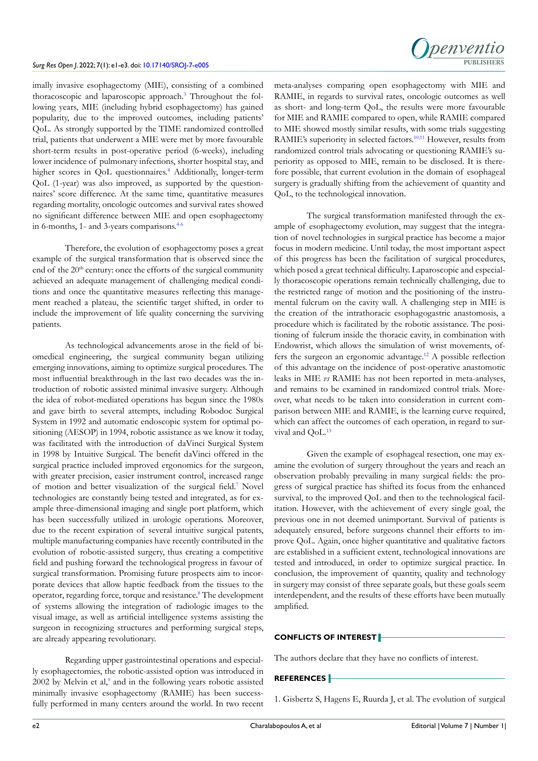#### *Surg Res Open J*. 2022; 7(1): e1-e3. doi: [10.17140/SROJ-7-e005](http://dx.doi.org/10.17140/SROJ-7-e005)



imally invasive esophagectomy (MIE), consisting of a combined thoracoscopic and laparoscopic approach.<sup>3</sup> Throughout the following years, MIE (including hybrid esophagectomy) has gained popularity, due to the improved outcomes, including patients' QoL. As strongly supported by the TIME randomized controlled trial, patients that underwent a MIE were met by more favourable short-term results in post-operative period (6-weeks), including lower incidence of pulmonary infections, shorter hospital stay, and higher scores in QoL questionnaires.<sup>[4](#page-2-2)</sup> Additionally, longer-term QoL (1-year) was also improved, as supported by the questionnaires' score difference. At the same time, quantitative measures regarding mortality, oncologic outcomes and survival rates showed no significant difference between MIE and open esophagectomy in 6-months, 1- and 3-years comparisons.<sup>4-6</sup>

Therefore, the evolution of esophagectomy poses a great example of the surgical transformation that is observed since the end of the 20<sup>th</sup> century: once the efforts of the surgical community achieved an adequate management of challenging medical conditions and once the quantitative measures reflecting this management reached a plateau, the scientific target shifted, in order to include the improvement of life quality concerning the surviving patients.

As technological advancements arose in the field of biomedical engineering, the surgical community began utilizing emerging innovations, aiming to optimize surgical procedures. The most influential breakthrough in the last two decades was the introduction of robotic assisted minimal invasive surgery. Although the idea of robot-mediated operations has begun since the 1980s and gave birth to several attempts, including Robodoc Surgical System in 1992 and automatic endoscopic system for optimal positioning (AESOP) in 1994, robotic assistance as we know it today, was facilitated with the introduction of daVinci Surgical System in 1998 by Intuitive Surgical. The benefit daVinci offered in the surgical practice included improved ergonomics for the surgeon, with greater precision, easier instrument control, increased range of motion and better visualization of the surgical field.<sup>[7](#page-2-3)</sup> Novel technologies are constantly being tested and integrated, as for example three-dimensional imaging and single port platform, which has been successfully utilized in urologic operations. Moreover, due to the recent expiration of several intuitive surgical patents, multiple manufacturing companies have recently contributed in the evolution of robotic-assisted surgery, thus creating a competitive field and pushing forward the technological progress in favour of surgical transformation. Promising future prospects aim to incorporate devices that allow haptic feedback from the tissues to the operator, regarding force, torque and resistance.<sup>[8](#page-2-4)</sup> The development of systems allowing the integration of radiologic images to the visual image, as well as artificial intelligence systems assisting the surgeon in recognizing structures and performing surgical steps, are already appearing revolutionary.

Regarding upper gastrointestinal operations and especially esophagectomies, the robotic-assisted option was introduced in  $2002$  by Melvin et al, $9$  and in the following years robotic assisted minimally invasive esophagectomy (RAMIE) has been successfully performed in many centers around the world. In two recent

meta-analyses comparing open esophagectomy with MIE and RAMIE, in regards to survival rates, oncologic outcomes as well as short- and long-term QoL, the results were more favourable for MIE and RAMIE compared to open, while RAMIE compared to MIE showed mostly similar results, with some trials suggesting RAMIE's superiority in selected factors.<sup>[10,11](#page-2-5)</sup> However, results from randomized control trials advocating or questioning RAMIE's superiority as opposed to MIE, remain to be disclosed. It is therefore possible, that current evolution in the domain of esophageal surgery is gradually shifting from the achievement of quantity and QoL, to the technological innovation.

The surgical transformation manifested through the example of esophagectomy evolution, may suggest that the integration of novel technologies in surgical practice has become a major focus in modern medicine. Until today, the most important aspect of this progress has been the facilitation of surgical procedures, which posed a great technical difficulty. Laparoscopic and especially thoracoscopic operations remain technically challenging, due to the restricted range of motion and the positioning of the instrumental fulcrum on the cavity wall. A challenging step in MIE is the creation of the intrathoracic esophagogastric anastomosis, a procedure which is facilitated by the robotic assistance. The positioning of fulcrum inside the thoracic cavity, in combination with Endowrist, which allows the simulation of wrist movements, offers the surgeon an ergonomic advantage[.12](#page-2-6) A possible reflection of this advantage on the incidence of post-operative anastomotic leaks in MIE *vs* RAMIE has not been reported in meta-analyses, and remains to be examined in randomized control trials. Moreover, what needs to be taken into consideration in current comparison between MIE and RAMIE, is the learning curve required, which can affect the outcomes of each operation, in regard to survival and OoL.<sup>13</sup>

Given the example of esophageal resection, one may examine the evolution of surgery throughout the years and reach an observation probably prevailing in many surgical fields: the progress of surgical practice has shifted its focus from the enhanced survival, to the improved QoL and then to the technological facilitation. However, with the achievement of every single goal, the previous one in not deemed unimportant. Survival of patients is adequately ensured, before surgeons channel their efforts to improve QoL. Again, once higher quantitative and qualitative factors are established in a sufficient extent, technological innovations are tested and introduced, in order to optimize surgical practice. In conclusion, the improvement of quantity, quality and technology in surgery may consist of three separate goals, but these goals seem interdependent, and the results of these efforts have been mutually amplified.

## **CONFLICTS OF INTEREST**

The authors declare that they have no conflicts of interest.

### **REFERENCES**

<span id="page-1-0"></span>1. Gisbertz S, Hagens E, Ruurda J, et al. The evolution of surgical